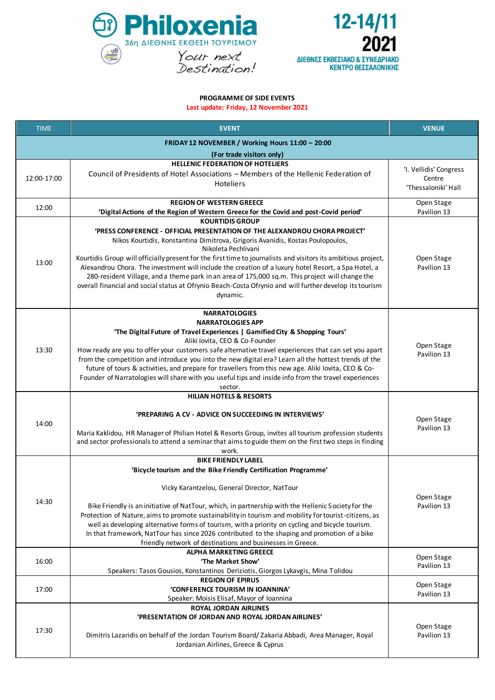



## **PROGRAMME OF SIDE EVENTS**

**Last update: Friday, 12 November 2021**

| <b>TIME</b>                                      | <b>EVENT</b>                                                                                                                                                                                                         | <b>VENUE</b>              |  |  |
|--------------------------------------------------|----------------------------------------------------------------------------------------------------------------------------------------------------------------------------------------------------------------------|---------------------------|--|--|
| FRIDAY 12 NOVEMBER / Working Hours 11:00 - 20:00 |                                                                                                                                                                                                                      |                           |  |  |
| (For trade visitors only)                        |                                                                                                                                                                                                                      |                           |  |  |
| 12:00-17:00                                      | <b>HELLENIC FEDERATION OF HOTELIERS</b>                                                                                                                                                                              | 'I. Vellidis' Congress    |  |  |
|                                                  | Council of Presidents of Hotel Associations - Members of the Hellenic Federation of<br>Hoteliers                                                                                                                     | Centre                    |  |  |
|                                                  |                                                                                                                                                                                                                      | 'Thessaloniki' Hall       |  |  |
| 12:00                                            | <b>REGION OF WESTERN GREECE</b>                                                                                                                                                                                      | Open Stage                |  |  |
|                                                  | 'Digital Actions of the Region of Western Greece for the Covid and post-Covid period'<br><b>KOURTIDIS GROUP</b>                                                                                                      | Pavilion 13               |  |  |
|                                                  | 'PRESS CONFERENCE - OFFICIAL PRESENTATION OF THE ALEXANDROU CHORA PROJECT'                                                                                                                                           |                           |  |  |
|                                                  | Nikos Kourtidis, Konstantina Dimitrova, Grigoris Avanidis, Kostas Poulopoulos,                                                                                                                                       | Open Stage<br>Pavilion 13 |  |  |
|                                                  | Nikoleta Pechlivani                                                                                                                                                                                                  |                           |  |  |
| 13:00                                            | Kourtidis Group will officially present for the first time to journalists and visitors its ambitious project,<br>Alexandrou Chora. The investment will include the creation of a luxury hotel Resort, a Spa Hotel, a |                           |  |  |
|                                                  | 280-resident Village, and a theme park in an area of 175,000 sq.m. This project will change the                                                                                                                      |                           |  |  |
|                                                  | overall financial and social status at Ofrynio Beach-Costa Ofrynio and will further develop its tourism                                                                                                              |                           |  |  |
|                                                  | dynamic.                                                                                                                                                                                                             |                           |  |  |
|                                                  | <b>NARRATOLOGIES</b>                                                                                                                                                                                                 |                           |  |  |
|                                                  | <b>NARRATOLOGIES APP</b>                                                                                                                                                                                             | Open Stage<br>Pavilion 13 |  |  |
|                                                  | 'The Digital Future of Travel Experiences   Gamified City & Shopping Tours'<br>Aliki Iovita, CEO & Co-Founder                                                                                                        |                           |  |  |
| 13:30                                            | How ready are you to offer your customers safe alternative travel experiences that can set you apart                                                                                                                 |                           |  |  |
|                                                  | from the competition and introduce you into the new digital era? Learn all the hottest trends of the                                                                                                                 |                           |  |  |
|                                                  | future of tours & activities, and prepare for travellers from this new age. Aliki lovita, CEO & Co-<br>Founder of Narratologies will share with you useful tips and inside info from the travel experiences          |                           |  |  |
|                                                  | sector.                                                                                                                                                                                                              |                           |  |  |
|                                                  | <b>HILIAN HOTELS &amp; RESORTS</b>                                                                                                                                                                                   |                           |  |  |
|                                                  | 'PREPARING A CV - ADVICE ON SUCCEEDING IN INTERVIEWS'                                                                                                                                                                | Open Stage<br>Pavilion 13 |  |  |
| 14:00                                            |                                                                                                                                                                                                                      |                           |  |  |
|                                                  | Maria Kaklidou, HR Manager of Philian Hotel & Resorts Group, invites all tourism profession students                                                                                                                 |                           |  |  |
|                                                  | and sector professionals to attend a seminar that aims to guide them on the first two steps in finding<br>work.                                                                                                      |                           |  |  |
|                                                  | <b>BIKE FRIENDLY LABEL</b>                                                                                                                                                                                           |                           |  |  |
|                                                  | 'Bicycle tourism and the Bike Friendly Certification Programme'                                                                                                                                                      |                           |  |  |
|                                                  | Vicky Karantzelou, General Director, NatTour                                                                                                                                                                         |                           |  |  |
| 14:30                                            |                                                                                                                                                                                                                      | Open Stage                |  |  |
|                                                  | Bike Friendly is an initiative of NatTour, which, in partnership with the Hellenic Society for the                                                                                                                   | Pavilion 13               |  |  |
|                                                  | Protection of Nature, aims to promote sustainability in tourism and mobility for tourist-citizens, as<br>well as developing alternative forms of tourism, with a priority on cycling and bicycle tourism.            |                           |  |  |
|                                                  | In that framework, NatTour has since 2026 contributed to the shaping and promotion of a bike                                                                                                                         |                           |  |  |
|                                                  | friendly network of destinations and businesses in Greece.                                                                                                                                                           |                           |  |  |
| 16:00                                            | <b>ALPHA MARKETING GREECE</b><br>'The Market Show'                                                                                                                                                                   | Open Stage                |  |  |
|                                                  | Speakers: Tasos Gousios, Konstantinos Deriziotis, Giorgos Lykavgis, Mina Tolidou                                                                                                                                     | Pavilion 13               |  |  |
|                                                  | <b>REGION OF EPIRUS</b>                                                                                                                                                                                              | Open Stage                |  |  |
| 17:00                                            | 'CONFERENCE TOURISM IN IOANNINA'<br>Speaker: Moisis Elisaf, Mayor of Ioannina                                                                                                                                        | Pavilion 13               |  |  |
|                                                  | <b>ROYAL JORDAN AIRLINES</b>                                                                                                                                                                                         |                           |  |  |
| 17:30                                            | 'PRESENTATION OF JORDAN AND ROYAL JORDAN AIRLINES'                                                                                                                                                                   |                           |  |  |
|                                                  |                                                                                                                                                                                                                      | Open Stage<br>Pavilion 13 |  |  |
|                                                  | Dimitris Lazaridis on behalf of the Jordan Tourism Board/Zakaria Abbadi, Area Manager, Royal<br>Jordanian Airlines, Greece & Cyprus                                                                                  |                           |  |  |
|                                                  |                                                                                                                                                                                                                      |                           |  |  |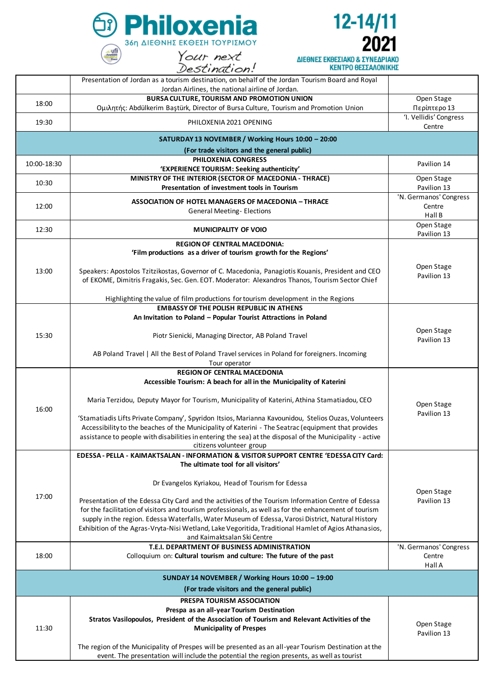



|             | Presentation of Jordan as a tourism destination, on behalf of the Jordan Tourism Board and Royal                                                                                                                                                                                                                                                                                                                                                         |                                        |
|-------------|----------------------------------------------------------------------------------------------------------------------------------------------------------------------------------------------------------------------------------------------------------------------------------------------------------------------------------------------------------------------------------------------------------------------------------------------------------|----------------------------------------|
|             | Jordan Airlines, the national airline of Jordan.                                                                                                                                                                                                                                                                                                                                                                                                         |                                        |
| 18:00       | BURSA CULTURE, TOURISM AND PROMOTION UNION                                                                                                                                                                                                                                                                                                                                                                                                               | Open Stage                             |
|             | Ομιλητής: Abdülkerim Baştürk, Director of Bursa Culture, Tourism and Promotion Union                                                                                                                                                                                                                                                                                                                                                                     | Περίπτερο 13<br>'I. Vellidis' Congress |
| 19:30       | PHILOXENIA 2021 OPENING                                                                                                                                                                                                                                                                                                                                                                                                                                  | Centre                                 |
|             | SATURDAY 13 NOVEMBER / Working Hours 10:00 - 20:00                                                                                                                                                                                                                                                                                                                                                                                                       |                                        |
|             | (For trade visitors and the general public)                                                                                                                                                                                                                                                                                                                                                                                                              |                                        |
| 10:00-18:30 | PHILOXENIA CONGRESS                                                                                                                                                                                                                                                                                                                                                                                                                                      | Pavilion 14                            |
|             | 'EXPERIENCE TOURISM: Seeking authenticity'                                                                                                                                                                                                                                                                                                                                                                                                               |                                        |
| 10:30       | MINISTRY OF THE INTERIOR (SECTOR OF MACEDONIA - THRACE)<br>Presentation of investment tools in Tourism                                                                                                                                                                                                                                                                                                                                                   | Open Stage<br>Pavilion 13              |
|             | <b>ASSOCIATION OF HOTEL MANAGERS OF MACEDONIA - THRACE</b>                                                                                                                                                                                                                                                                                                                                                                                               | 'N. Germanos' Congress                 |
| 12:00       | <b>General Meeting- Elections</b>                                                                                                                                                                                                                                                                                                                                                                                                                        | Centre<br>Hall B                       |
| 12:30       | <b>MUNICIPALITY OF VOIO</b>                                                                                                                                                                                                                                                                                                                                                                                                                              | Open Stage<br>Pavilion 13              |
|             | <b>REGION OF CENTRAL MACEDONIA:</b>                                                                                                                                                                                                                                                                                                                                                                                                                      |                                        |
|             | 'Film productions as a driver of tourism growth for the Regions'                                                                                                                                                                                                                                                                                                                                                                                         |                                        |
| 13:00       | Speakers: Apostolos Tzitzikostas, Governor of C. Macedonia, Panagiotis Kouanis, President and CEO<br>of EKOME, Dimitris Fragakis, Sec. Gen. EOT. Moderator: Alexandros Thanos, Tourism Sector Chief                                                                                                                                                                                                                                                      | Open Stage<br>Pavilion 13              |
|             | Highlighting the value of film productions for tourism development in the Regions                                                                                                                                                                                                                                                                                                                                                                        |                                        |
|             | <b>EMBASSY OF THE POLISH REPUBLIC IN ATHENS</b>                                                                                                                                                                                                                                                                                                                                                                                                          |                                        |
|             | An Invitation to Poland - Popular Tourist Attractions in Poland                                                                                                                                                                                                                                                                                                                                                                                          |                                        |
| 15:30       | Piotr Sienicki, Managing Director, AB Poland Travel                                                                                                                                                                                                                                                                                                                                                                                                      | Open Stage<br>Pavilion 13              |
|             | AB Poland Travel   All the Best of Poland Travel services in Poland for foreigners. Incoming<br>Tour operator                                                                                                                                                                                                                                                                                                                                            |                                        |
|             | <b>REGION OF CENTRAL MACEDONIA</b>                                                                                                                                                                                                                                                                                                                                                                                                                       |                                        |
|             | Accessible Tourism: A beach for all in the Municipality of Katerini                                                                                                                                                                                                                                                                                                                                                                                      |                                        |
|             |                                                                                                                                                                                                                                                                                                                                                                                                                                                          | Open Stage<br>Pavilion 13              |
| 16:00       | Maria Terzidou, Deputy Mayor for Tourism, Municipality of Katerini, Athina Stamatiadou, CEO                                                                                                                                                                                                                                                                                                                                                              |                                        |
|             | 'Stamatiadis Lifts Private Company', Spyridon Itsios, Marianna Kavounidou, Stelios Ouzas, Volunteers<br>Accessibility to the beaches of the Municipality of Katerini - The Seatrac (equipment that provides<br>assistance to people with disabilities in entering the sea) at the disposal of the Municipality - active<br>citizens volunteer group                                                                                                      |                                        |
|             | EDESSA - PELLA - KAIMAKTSALAN - INFORMATION & VISITOR SUPPORT CENTRE 'EDESSA CITY Card:<br>The ultimate tool for all visitors'                                                                                                                                                                                                                                                                                                                           |                                        |
|             | Dr Evangelos Kyriakou, Head of Tourism for Edessa                                                                                                                                                                                                                                                                                                                                                                                                        | Open Stage<br>Pavilion 13              |
| 17:00       | Presentation of the Edessa City Card and the activities of the Tourism Information Centre of Edessa<br>for the facilitation of visitors and tourism professionals, as well as for the enhancement of tourism<br>supply in the region. Edessa Waterfalls, Water Museum of Edessa, Varosi District, Natural History<br>Exhibition of the Agras-Vryta-Nisi Wetland, Lake Vegoritida, Traditional Hamlet of Agios Athanasios,<br>and Kaimaktsalan Ski Centre |                                        |
|             | T.E.I. DEPARTMENT OF BUSINESS ADMINISTRATION                                                                                                                                                                                                                                                                                                                                                                                                             | 'N. Germanos' Congress                 |
| 18:00       | Colloquium on: Cultural tourism and culture: The future of the past                                                                                                                                                                                                                                                                                                                                                                                      | Centre<br>Hall A                       |
|             | SUNDAY 14 NOVEMBER / Working Hours 10:00 - 19:00                                                                                                                                                                                                                                                                                                                                                                                                         |                                        |
|             | (For trade visitors and the general public)                                                                                                                                                                                                                                                                                                                                                                                                              |                                        |
|             | PRESPA TOURISM ASSOCIATION                                                                                                                                                                                                                                                                                                                                                                                                                               |                                        |
| 11:30       | Prespa as an all-year Tourism Destination<br>Stratos Vasilopoulos, President of the Association of Tourism and Relevant Activities of the<br><b>Municipality of Prespes</b>                                                                                                                                                                                                                                                                              | Open Stage<br>Pavilion 13              |
|             | The region of the Municipality of Prespes will be presented as an all-year Tourism Destination at the<br>event. The presentation will include the potential the region presents, as well as tourist                                                                                                                                                                                                                                                      |                                        |
|             |                                                                                                                                                                                                                                                                                                                                                                                                                                                          |                                        |